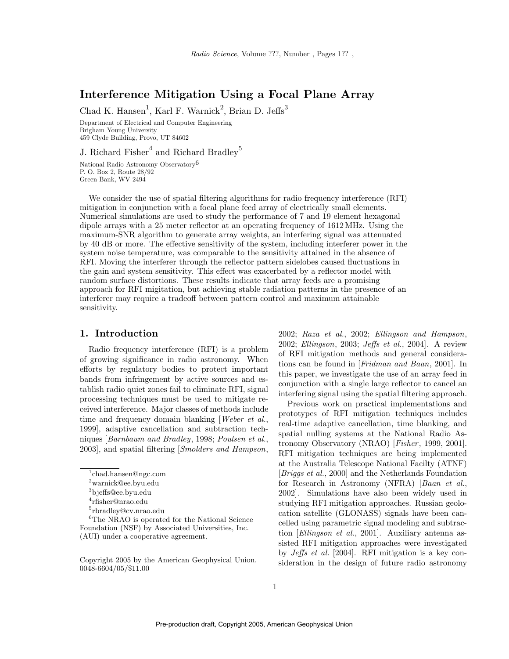# Interference Mitigation Using a Focal Plane Array

Chad K. Hansen<sup>1</sup>, Karl F. Warnick<sup>2</sup>, Brian D. Jeffs<sup>3</sup>

Department of Electrical and Computer Engineering Brigham Young University 459 Clyde Building, Provo, UT 84602

J. Richard Fisher $^4$  and Richard Bradley $^5$ 

National Radio Astronomy Observatory<sup>6</sup> P. O. Box 2, Route 28/92 Green Bank, WV 2494

We consider the use of spatial filtering algorithms for radio frequency interference (RFI) mitigation in conjunction with a focal plane feed array of electrically small elements. Numerical simulations are used to study the performance of 7 and 19 element hexagonal dipole arrays with a 25 meter reflector at an operating frequency of 1612 MHz. Using the maximum-SNR algorithm to generate array weights, an interfering signal was attenuated by 40 dB or more. The effective sensitivity of the system, including interferer power in the system noise temperature, was comparable to the sensitivity attained in the absence of RFI. Moving the interferer through the reflector pattern sidelobes caused fluctuations in the gain and system sensitivity. This effect was exacerbated by a reflector model with random surface distortions. These results indicate that array feeds are a promising approach for RFI migitation, but achieving stable radiation patterns in the presence of an interferer may require a tradeoff between pattern control and maximum attainable sensitivity.

## 1. Introduction

Radio frequency interference (RFI) is a problem of growing significance in radio astronomy. When efforts by regulatory bodies to protect important bands from infringement by active sources and establish radio quiet zones fail to eliminate RFI, signal processing techniques must be used to mitigate received interference. Major classes of methods include time and frequency domain blanking *Weber et al.*, 1999], adaptive cancellation and subtraction techniques [Barnbaum and Bradley, 1998; Poulsen et al., 2003], and spatial filtering [Smolders and Hampson,

2002; Raza et al., 2002; Ellingson and Hampson, 2002; Ellingson, 2003; Jeffs et al., 2004]. A review of RFI mitigation methods and general considerations can be found in [Fridman and Baan, 2001]. In this paper, we investigate the use of an array feed in conjunction with a single large reflector to cancel an interfering signal using the spatial filtering approach.

Previous work on practical implementations and prototypes of RFI mitigation techniques includes real-time adaptive cancellation, time blanking, and spatial nulling systems at the National Radio Astronomy Observatory (NRAO) [Fisher, 1999, 2001]. RFI mitigation techniques are being implemented at the Australia Telescope National Facilty (ATNF) [Briggs et al., 2000] and the Netherlands Foundation for Research in Astronomy (NFRA) [Baan et al., 2002]. Simulations have also been widely used in studying RFI mitigation approaches. Russian geolocation satellite (GLONASS) signals have been cancelled using parametric signal modeling and subtraction [Ellingson et al., 2001]. Auxiliary antenna assisted RFI mitigation approaches were investigated by Jeffs et al. [2004]. RFI mitigation is a key consideration in the design of future radio astronomy

<sup>1</sup> chad.hansen@ngc.com

 $^2$ warnick@ee.byu.edu

<sup>3</sup>bjeffs@ee.byu.edu

<sup>4</sup> rfisher@nrao.edu

<sup>5</sup> rbradley@cv.nrao.edu

<sup>6</sup>The NRAO is operated for the National Science Foundation (NSF) by Associated Universities, Inc. (AUI) under a cooperative agreement.

Copyright 2005 by the American Geophysical Union. 0048-6604/05/\$11.00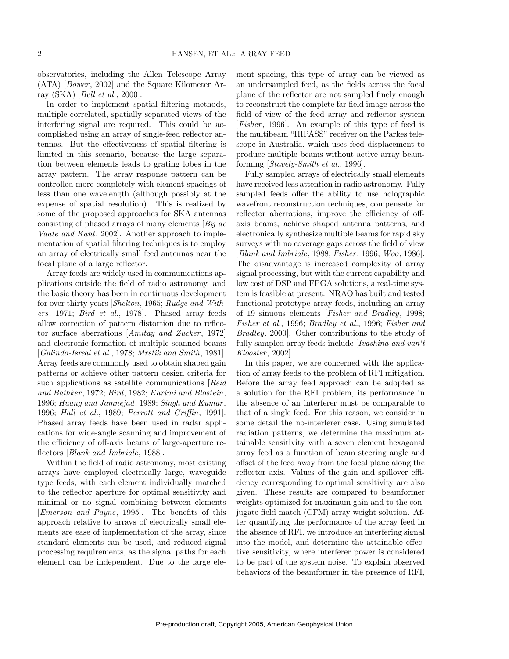observatories, including the Allen Telescope Array  $(ATA)$  [*Bower*, 2002] and the Square Kilometer Array (SKA) [Bell et al., 2000].

In order to implement spatial filtering methods, multiple correlated, spatially separated views of the interfering signal are required. This could be accomplished using an array of single-feed reflector antennas. But the effectiveness of spatial filtering is limited in this scenario, because the large separation between elements leads to grating lobes in the array pattern. The array response pattern can be controlled more completely with element spacings of less than one wavelength (although possibly at the expense of spatial resolution). This is realized by some of the proposed approaches for SKA antennas consisting of phased arrays of many elements  $Bij \, de$ Vaate and Kant, 2002]. Another approach to implementation of spatial filtering techniques is to employ an array of electrically small feed antennas near the focal plane of a large reflector.

Array feeds are widely used in communications applications outside the field of radio astronomy, and the basic theory has been in continuous development for over thirty years [Shelton, 1965; Rudge and Withers, 1971; Bird et al., 1978]. Phased array feeds allow correction of pattern distortion due to reflector surface aberrations [Amitay and Zucker, 1972] and electronic formation of multiple scanned beams [Galindo-Isreal et al., 1978; Mrstik and Smith, 1981]. Array feeds are commonly used to obtain shaped gain patterns or achieve other pattern design criteria for such applications as satellite communications [Reid] and Bathker , 1972; Bird, 1982; Karimi and Blostein, 1996; Huang and Jamnejad, 1989; Singh and Kumar , 1996; Hall et al., 1989; Perrott and Griffin, 1991]. Phased array feeds have been used in radar applications for wide-angle scanning and improvement of the efficiency of off-axis beams of large-aperture reflectors [Blank and Imbriale, 1988].

Within the field of radio astronomy, most existing arrays have employed electrically large, waveguide type feeds, with each element individually matched to the reflector aperture for optimal sensitivity and minimal or no signal combining between elements [Emerson and Payne, 1995]. The benefits of this approach relative to arrays of electrically small elements are ease of implementation of the array, since standard elements can be used, and reduced signal processing requirements, as the signal paths for each element can be independent. Due to the large element spacing, this type of array can be viewed as an undersampled feed, as the fields across the focal plane of the reflector are not sampled finely enough to reconstruct the complete far field image across the field of view of the feed array and reflector system [ $Fisher$ , 1996]. An example of this type of feed is the multibeam "HIPASS" receiver on the Parkes telescope in Australia, which uses feed displacement to produce multiple beams without active array beamforming [Stavely-Smith et al., 1996].

Fully sampled arrays of electrically small elements have received less attention in radio astronomy. Fully sampled feeds offer the ability to use holographic wavefront reconstruction techniques, compensate for reflector aberrations, improve the efficiency of offaxis beams, achieve shaped antenna patterns, and electronically synthesize multiple beams for rapid sky surveys with no coverage gaps across the field of view [Blank and Imbriale, 1988; Fisher, 1996; Woo, 1986]. The disadvantage is increased complexity of array signal processing, but with the current capability and low cost of DSP and FPGA solutions, a real-time system is feasible at present. NRAO has built and tested functional prototype array feeds, including an array of 19 sinuous elements [Fisher and Bradley, 1998; Fisher et al., 1996; Bradley et al., 1996; Fisher and Bradley, 2000]. Other contributions to the study of fully sampled array feeds include [Ivashina and van't Klooster, 2002

In this paper, we are concerned with the application of array feeds to the problem of RFI mitigation. Before the array feed approach can be adopted as a solution for the RFI problem, its performance in the absence of an interferer must be comparable to that of a single feed. For this reason, we consider in some detail the no-interferer case. Using simulated radiation patterns, we determine the maximum attainable sensitivity with a seven element hexagonal array feed as a function of beam steering angle and offset of the feed away from the focal plane along the reflector axis. Values of the gain and spillover efficiency corresponding to optimal sensitivity are also given. These results are compared to beamformer weights optimized for maximum gain and to the conjugate field match (CFM) array weight solution. After quantifying the performance of the array feed in the absence of RFI, we introduce an interfering signal into the model, and determine the attainable effective sensitivity, where interferer power is considered to be part of the system noise. To explain observed behaviors of the beamformer in the presence of RFI,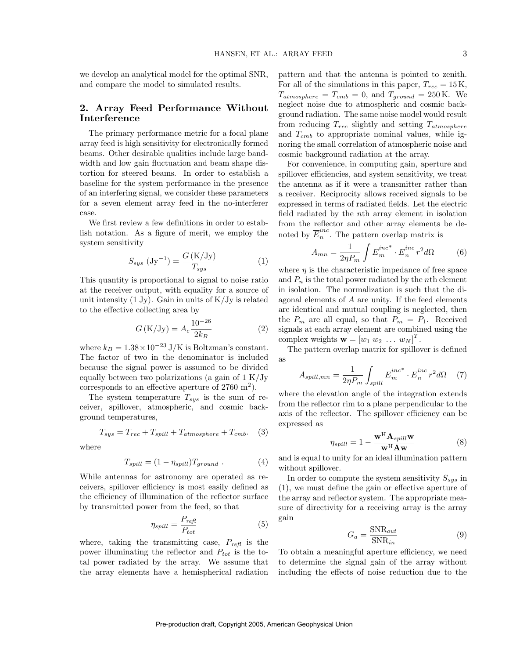we develop an analytical model for the optimal SNR, and compare the model to simulated results.

# 2. Array Feed Performance Without Interference

The primary performance metric for a focal plane array feed is high sensitivity for electronically formed beams. Other desirable qualities include large bandwidth and low gain fluctuation and beam shape distortion for steered beams. In order to establish a baseline for the system performance in the presence of an interfering signal, we consider these parameters for a seven element array feed in the no-interferer case.

We first review a few definitions in order to establish notation. As a figure of merit, we employ the system sensitivity

$$
S_{sys} \left( \text{Jy}^{-1} \right) = \frac{G \left( \text{K}/\text{Jy} \right)}{T_{sys}} \tag{1}
$$

This quantity is proportional to signal to noise ratio at the receiver output, with equality for a source of unit intensity  $(1 \text{ Jy})$ . Gain in units of  $K/Jy$  is related to the effective collecting area by

$$
G\left(\frac{K}{Jy}\right) = A_e \frac{10^{-26}}{2k_B} \tag{2}
$$

where  $k_B = 1.38 \times 10^{-23}$  J/K is Boltzman's constant. The factor of two in the denominator is included because the signal power is assumed to be divided equally between two polarizations (a gain of  $1 \text{ K/Jy}$ ) corresponds to an effective aperture of  $2760 \text{ m}^2$ ).

The system temperature  $T_{sys}$  is the sum of receiver, spillover, atmospheric, and cosmic background temperatures,

$$
T_{sys} = T_{rec} + T_{spill} + T_{atmosphere} + T_{cmb}. \tag{3}
$$

where

$$
T_{spill} = (1 - \eta_{spill}) T_{ground} . \qquad (4)
$$

While antennas for astronomy are operated as receivers, spillover efficiency is most easily defined as the efficiency of illumination of the reflector surface by transmitted power from the feed, so that

$$
\eta_{spill} = \frac{P_{refl}}{P_{tot}}\tag{5}
$$

where, taking the transmitting case,  $P_{refl}$  is the power illuminating the reflector and  $P_{tot}$  is the total power radiated by the array. We assume that the array elements have a hemispherical radiation

pattern and that the antenna is pointed to zenith. For all of the simulations in this paper,  $T_{rec} = 15 \text{ K}$ ,  $T_{atmosphere} = T_{cmb} = 0$ , and  $T_{ground} = 250$  K. We neglect noise due to atmospheric and cosmic background radiation. The same noise model would result from reducing  $T_{rec}$  slightly and setting  $T_{atmosphere}$ and  $T_{cmb}$  to appropriate nominal values, while ignoring the small correlation of atmospheric noise and cosmic background radiation at the array.

For convenience, in computing gain, aperture and spillover efficiencies, and system sensitivity, we treat the antenna as if it were a transmitter rather than a receiver. Reciprocity allows received signals to be expressed in terms of radiated fields. Let the electric field radiated by the nth array element in isolation from the reflector and other array elements be denoted by  $\overline{E}_n^{inc}$  $\sum_{n=1}^{\infty}$ . The pattern overlap matrix is

$$
A_{mn} = \frac{1}{2\eta P_m} \int \overline{E}_m^{inc} \cdot \overline{E}_n^{inc} r^2 d\Omega \tag{6}
$$

where  $\eta$  is the characteristic impedance of free space and  $P_n$  is the total power radiated by the *n*th element in isolation. The normalization is such that the diagonal elements of A are unity. If the feed elements are identical and mutual coupling is neglected, then the  $P_m$  are all equal, so that  $P_m = P_1$ . Received signals at each array element are combined using the complex weights  $\mathbf{w} = [w_1 \ w_2 \ \dots \ w_N]^T$ .

The pattern overlap matrix for spillover is defined as

$$
A_{spill,mn} = \frac{1}{2\eta P_m} \int_{spill} \overline{E}_m^{inc} \cdot \overline{E}_n^{inc} r^2 d\Omega \quad (7)
$$

where the elevation angle of the integration extends from the reflector rim to a plane perpendicular to the axis of the reflector. The spillover efficiency can be expressed as

$$
\eta_{spill} = 1 - \frac{\mathbf{w}^{\mathrm{H}} \mathbf{A}_{spill} \mathbf{w}}{\mathbf{w}^{\mathrm{H}} \mathbf{A} \mathbf{w}}
$$
(8)

and is equal to unity for an ideal illumination pattern without spillover.

In order to compute the system sensitivity  $S_{sys}$  in (1), we must define the gain or effective aperture of the array and reflector system. The appropriate measure of directivity for a receiving array is the array gain

$$
G_a = \frac{\text{SNR}_{out}}{\text{SNR}_{in}}\tag{9}
$$

To obtain a meaningful aperture efficiency, we need to determine the signal gain of the array without including the effects of noise reduction due to the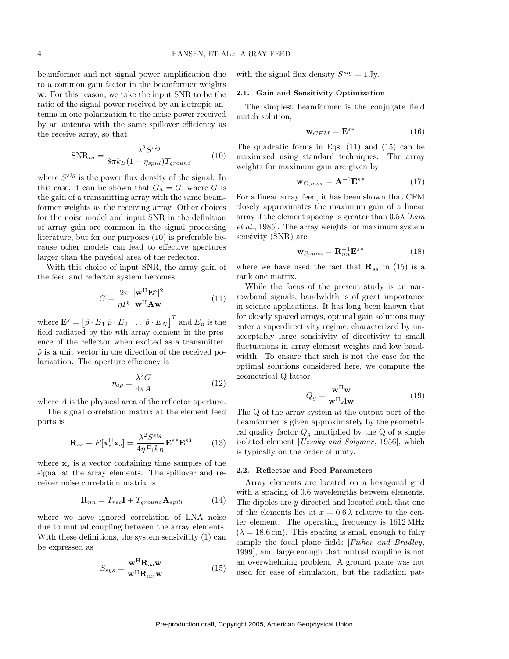beamformer and net signal power amplification due to a common gain factor in the beamformer weights w. For this reason, we take the input SNR to be the ratio of the signal power received by an isotropic antenna in one polarization to the noise power received by an antenna with the same spillover efficiency as the receive array, so that

$$
SNR_{in} = \frac{\lambda^2 S^{sig}}{8\pi k_B (1 - \eta_{spill}) T_{ground}} \tag{10}
$$

where  $S^{sig}$  is the power flux density of the signal. In this case, it can be shown that  $G_a = G$ , where G is the gain of a transmitting array with the same beamformer weights as the receiving array. Other choices for the noise model and input SNR in the definition of array gain are common in the signal processing literature, but for our purposes (10) is preferable because other models can lead to effective apertures larger than the physical area of the reflector.

With this choice of input SNR, the array gain of the feed and reflector system becomes

$$
G = \frac{2\pi}{\eta P_1} \frac{|\mathbf{w}^{\mathrm{H}} \mathbf{E}^s|^2}{\mathbf{w}^{\mathrm{H}} \mathbf{A} \mathbf{w}}
$$
(11)

where  $\mathbf{E}^s = \left[\hat{p} \cdot \overline{E}_1 \; \hat{p} \cdot \overline{E}_2 \; \dots \; \hat{p} \cdot \overline{E}_N \right]^T$  and  $\overline{E}_n$  is the field radiated by the nth array element in the presence of the reflector when excited as a transmitter.  $\hat{p}$  is a unit vector in the direction of the received polarization. The aperture efficiency is

$$
\eta_{ap} = \frac{\lambda^2 G}{4\pi A} \tag{12}
$$

where A is the physical area of the reflector aperture.

The signal correlation matrix at the element feed ports is

$$
\mathbf{R}_{ss} \equiv E[\mathbf{x}_s^{\mathrm{H}} \mathbf{x}_s] = \frac{\lambda^2 S^{sig}}{4\eta P_1 k_B} \mathbf{E}^{s*} \mathbf{E}^{sT} \qquad (13)
$$

where  $x_s$  is a vector containing time samples of the signal at the array elements. The spillover and receiver noise correlation matrix is

$$
\mathbf{R}_{nn} = T_{rec}\mathbf{I} + T_{ground}\mathbf{A}_{spill} \tag{14}
$$

where we have ignored correlation of LNA noise due to mutual coupling between the array elements. With these definitions, the system sensivitity (1) can be expressed as

$$
S_{sys} = \frac{\mathbf{w}^{\mathrm{H}} \mathbf{R}_{ss} \mathbf{w}}{\mathbf{w}^{\mathrm{H}} \mathbf{R}_{nn} \mathbf{w}}
$$
(15)

with the signal flux density  $S^{sig} = 1$  Jy.

#### 2.1. Gain and Sensitivity Optimization

The simplest beamformer is the conjugate field match solution,

$$
\mathbf{w}_{CFM} = \mathbf{E}^{s*} \tag{16}
$$

The quadratic forms in Eqs. (11) and (15) can be maximized using standard techniques. The array weights for maximum gain are given by

$$
\mathbf{w}_{G,max} = \mathbf{A}^{-1} \mathbf{E}^{s*} \tag{17}
$$

For a linear array feed, it has been shown that CFM closely approximates the maximum gain of a linear array if the element spacing is greater than  $0.5\lambda$  [Lam et al., 1985]. The array weights for maximum system sensivity (SNR) are

$$
\mathbf{w}_{S,max} = \mathbf{R}_{nn}^{-1} \mathbf{E}^{s*} \tag{18}
$$

where we have used the fact that  $\mathbf{R}_{ss}$  in (15) is a rank one matrix.

While the focus of the present study is on narrowband signals, bandwidth is of great importance in science applications. It has long been known that for closely spaced arrays, optimal gain solutions may enter a superdirectivity regime, characterized by unacceptably large sensitivity of directivity to small fluctuations in array element weights and low bandwidth. To ensure that such is not the case for the optimal solutions considered here, we compute the geometrical Q factor

$$
Q_g = \frac{\mathbf{w}^{\mathrm{H}} \mathbf{w}}{\mathbf{w}^{\mathrm{H}} A \mathbf{w}} \tag{19}
$$

The Q of the array system at the output port of the beamformer is given approximately by the geometrical quality factor  $Q_q$  multiplied by the Q of a single isolated element  $[Uzsoky \ and \ Solymar, 1956]$ , which is typically on the order of unity.

#### 2.2. Reflector and Feed Parameters

Array elements are located on a hexagonal grid with a spacing of 0.6 wavelengths between elements. The dipoles are y-directed and located such that one of the elements lies at  $x = 0.6 \lambda$  relative to the center element. The operating frequency is 1612 MHz  $(\lambda = 18.6 \text{ cm})$ . This spacing is small enough to fully sample the focal plane fields [Fisher and Bradley, 1999], and large enough that mutual coupling is not an overwhelming problem. A ground plane was not used for ease of simulation, but the radiation pat-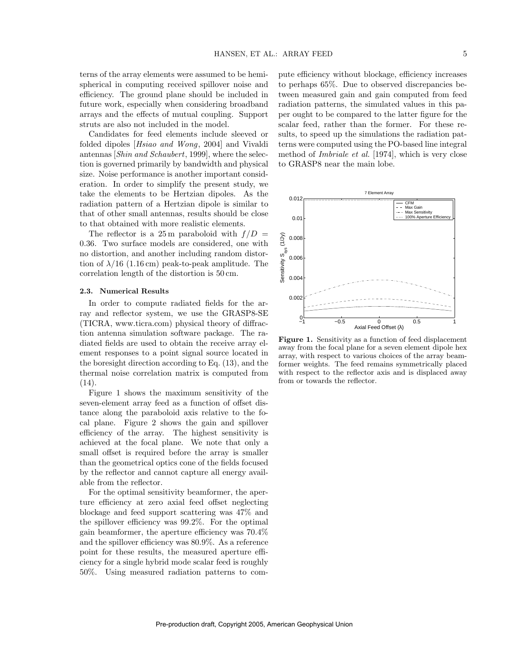terns of the array elements were assumed to be hemispherical in computing received spillover noise and efficiency. The ground plane should be included in future work, especially when considering broadband arrays and the effects of mutual coupling. Support struts are also not included in the model.

Candidates for feed elements include sleeved or folded dipoles [Hsiao and Wong, 2004] and Vivaldi antennas [Shin and Schaubert, 1999], where the selection is governed primarily by bandwidth and physical size. Noise performance is another important consideration. In order to simplify the present study, we take the elements to be Hertzian dipoles. As the radiation pattern of a Hertzian dipole is similar to that of other small antennas, results should be close to that obtained with more realistic elements.

The reflector is a 25m paraboloid with  $f/D =$ 0.36. Two surface models are considered, one with no distortion, and another including random distortion of  $\lambda/16$  (1.16 cm) peak-to-peak amplitude. The correlation length of the distortion is 50 cm.

#### 2.3. Numerical Results

In order to compute radiated fields for the array and reflector system, we use the GRASP8-SE (TICRA, www.ticra.com) physical theory of diffraction antenna simulation software package. The radiated fields are used to obtain the receive array element responses to a point signal source located in the boresight direction according to Eq. (13), and the thermal noise correlation matrix is computed from (14).

Figure 1 shows the maximum sensitivity of the seven-element array feed as a function of offset distance along the paraboloid axis relative to the focal plane. Figure 2 shows the gain and spillover efficiency of the array. The highest sensitivity is achieved at the focal plane. We note that only a small offset is required before the array is smaller than the geometrical optics cone of the fields focused by the reflector and cannot capture all energy available from the reflector.

For the optimal sensitivity beamformer, the aperture efficiency at zero axial feed offset neglecting blockage and feed support scattering was 47% and the spillover efficiency was 99.2%. For the optimal gain beamformer, the aperture efficiency was 70.4% and the spillover efficiency was 80.9%. As a reference point for these results, the measured aperture efficiency for a single hybrid mode scalar feed is roughly 50%. Using measured radiation patterns to compute efficiency without blockage, efficiency increases to perhaps 65%. Due to observed discrepancies between measured gain and gain computed from feed radiation patterns, the simulated values in this paper ought to be compared to the latter figure for the scalar feed, rather than the former. For these results, to speed up the simulations the radiation patterns were computed using the PO-based line integral method of Imbriale et al. [1974], which is very close to GRASP8 near the main lobe.



Figure 1. Sensitivity as a function of feed displacement away from the focal plane for a seven element dipole hex array, with respect to various choices of the array beamformer weights. The feed remains symmetrically placed with respect to the reflector axis and is displaced away from or towards the reflector.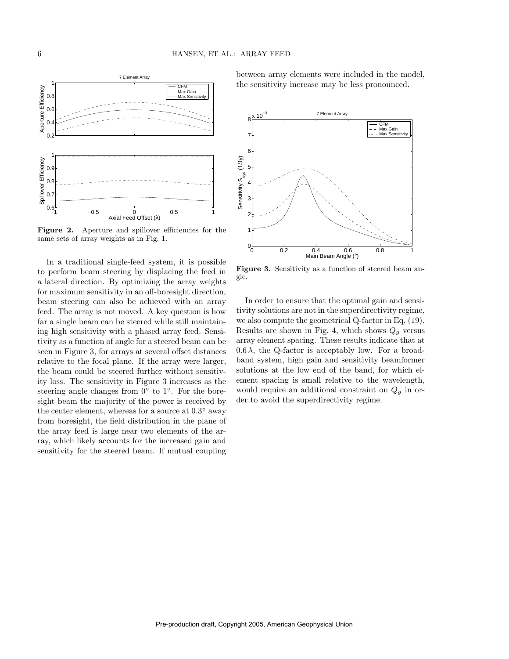

Figure 2. Aperture and spillover efficiencies for the same sets of array weights as in Fig. 1.

In a traditional single-feed system, it is possible to perform beam steering by displacing the feed in a lateral direction. By optimizing the array weights for maximum sensitivity in an off-boresight direction, beam steering can also be achieved with an array feed. The array is not moved. A key question is how far a single beam can be steered while still maintaining high sensitivity with a phased array feed. Sensitivity as a function of angle for a steered beam can be seen in Figure 3, for arrays at several offset distances relative to the focal plane. If the array were larger, the beam could be steered further without sensitivity loss. The sensitivity in Figure 3 increases as the steering angle changes from  $0^{\circ}$  to  $1^{\circ}$ . For the boresight beam the majority of the power is received by the center element, whereas for a source at  $0.3^{\circ}$  away from boresight, the field distribution in the plane of the array feed is large near two elements of the array, which likely accounts for the increased gain and sensitivity for the steered beam. If mutual coupling between array elements were included in the model, the sensitivity increase may be less pronounced.



Figure 3. Sensitivity as a function of steered beam angle.

In order to ensure that the optimal gain and sensitivity solutions are not in the superdirectivity regime, we also compute the geometrical Q-factor in Eq. (19). Results are shown in Fig. 4, which shows  $Q_q$  versus array element spacing. These results indicate that at  $0.6 \lambda$ , the Q-factor is acceptably low. For a broadband system, high gain and sensitivity beamformer solutions at the low end of the band, for which element spacing is small relative to the wavelength, would require an additional constraint on  $Q<sub>q</sub>$  in order to avoid the superdirectivity regime.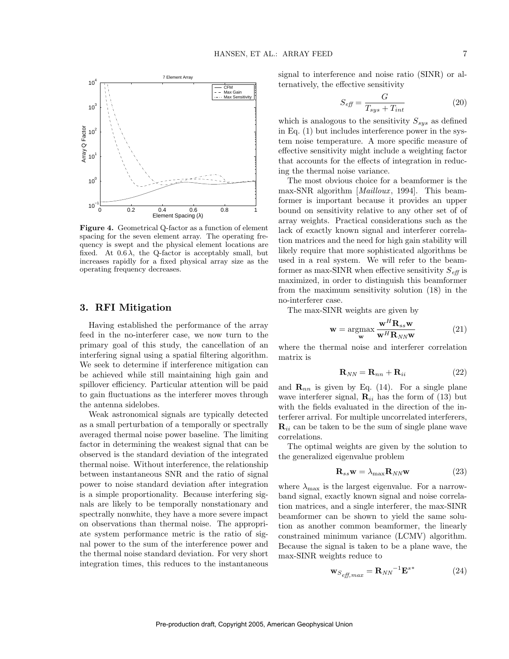

Figure 4. Geometrical Q-factor as a function of element spacing for the seven element array. The operating frequency is swept and the physical element locations are fixed. At  $0.6 \lambda$ , the Q-factor is acceptably small, but increases rapidly for a fixed physical array size as the operating frequency decreases.

## 3. RFI Mitigation

Having established the performance of the array feed in the no-interferer case, we now turn to the primary goal of this study, the cancellation of an interfering signal using a spatial filtering algorithm. We seek to determine if interference mitigation can be achieved while still maintaining high gain and spillover efficiency. Particular attention will be paid to gain fluctuations as the interferer moves through the antenna sidelobes.

Weak astronomical signals are typically detected as a small perturbation of a temporally or spectrally averaged thermal noise power baseline. The limiting factor in determining the weakest signal that can be observed is the standard deviation of the integrated thermal noise. Without interference, the relationship between instantaneous SNR and the ratio of signal power to noise standard deviation after integration is a simple proportionality. Because interfering signals are likely to be temporally nonstationary and spectrally nonwhite, they have a more severe impact on observations than thermal noise. The appropriate system performance metric is the ratio of signal power to the sum of the interference power and the thermal noise standard deviation. For very short integration times, this reduces to the instantaneous

signal to interference and noise ratio (SINR) or alternatively, the effective sensitivity

$$
S_{\text{eff}} = \frac{G}{T_{sys} + T_{int}} \tag{20}
$$

which is analogous to the sensitivity  $S_{sys}$  as defined in Eq. (1) but includes interference power in the system noise temperature. A more specific measure of effective sensitivity might include a weighting factor that accounts for the effects of integration in reducing the thermal noise variance.

The most obvious choice for a beamformer is the max-SNR algorithm [*Mailloux*, 1994]. This beamformer is important because it provides an upper bound on sensitivity relative to any other set of of array weights. Practical considerations such as the lack of exactly known signal and interferer correlation matrices and the need for high gain stability will likely require that more sophisticated algorithms be used in a real system. We will refer to the beamformer as max-SINR when effective sensitivity  $S_{\text{eff}}$  is maximized, in order to distinguish this beamformer from the maximum sensitivity solution (18) in the no-interferer case.

The max-SINR weights are given by

$$
\mathbf{w} = \underset{\mathbf{w}}{\operatorname{argmax}} \frac{\mathbf{w}^{H} \mathbf{R}_{ss} \mathbf{w}}{\mathbf{w}^{H} \mathbf{R}_{NN} \mathbf{w}}
$$
(21)

where the thermal noise and interferer correlation matrix is

$$
\mathbf{R}_{NN} = \mathbf{R}_{nn} + \mathbf{R}_{ii} \tag{22}
$$

and  $\mathbf{R}_{nn}$  is given by Eq. (14). For a single plane wave interferer signal,  $\mathbf{R}_{ii}$  has the form of (13) but with the fields evaluated in the direction of the interferer arrival. For multiple uncorrelated interferers,  $\mathbf{R}_{ii}$  can be taken to be the sum of single plane wave correlations.

The optimal weights are given by the solution to the generalized eigenvalue problem

$$
\mathbf{R}_{ss}\mathbf{w} = \lambda_{\text{max}}\mathbf{R}_{NN}\mathbf{w} \tag{23}
$$

where  $\lambda_{\text{max}}$  is the largest eigenvalue. For a narrowband signal, exactly known signal and noise correlation matrices, and a single interferer, the max-SINR beamformer can be shown to yield the same solution as another common beamformer, the linearly constrained minimum variance (LCMV) algorithm. Because the signal is taken to be a plane wave, the max-SINR weights reduce to

$$
\mathbf{w}_{S_{\text{eff},\text{max}}} = \mathbf{R}_{NN}^{-1} \mathbf{E}^{s*} \tag{24}
$$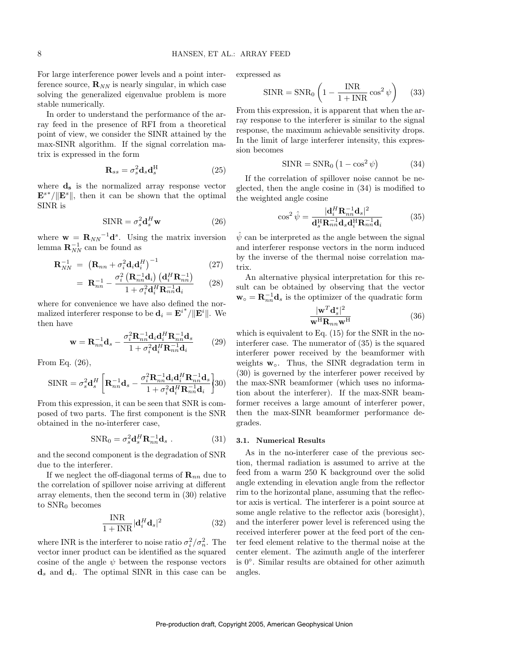For large interference power levels and a point interference source,  $\mathbf{R}_{NN}$  is nearly singular, in which case solving the generalized eigenvalue problem is more stable numerically.

In order to understand the performance of the array feed in the presence of RFI from a theoretical point of view, we consider the SINR attained by the max-SINR algorithm. If the signal correlation matrix is expressed in the form

$$
\mathbf{R}_{ss} = \sigma_s^2 \mathbf{d}_s \mathbf{d}_s^{\mathrm{H}} \tag{25}
$$

where  $\mathbf{d}_s$  is the normalized array response vector  $\mathbf{E}^{s*}/\|\mathbf{E}^{s}\|$ , then it can be shown that the optimal SINR is

$$
SINR = \sigma_s^2 \mathbf{d}_s^H \mathbf{w} \tag{26}
$$

where  $\mathbf{w} = \mathbf{R}_{NN}^{-1} \mathbf{d}^s$ . Using the matrix inversion lemma  $\mathbf{R}_{NN}^{-1}$  can be found as

$$
\mathbf{R}_{NN}^{-1} = \left(\mathbf{R}_{nn} + \sigma_i^2 \mathbf{d}_i \mathbf{d}_i^H\right)^{-1} \tag{27}
$$

$$
= \mathbf{R}_{nn}^{-1} - \frac{\sigma_i^2 \left( \mathbf{R}_{nn}^{-1} \mathbf{d}_i \right) \left( \mathbf{d}_i^H \mathbf{R}_{nn}^{-1} \right)}{1 + \sigma_i^2 \mathbf{d}_i^H \mathbf{R}_{nn}^{-1} \mathbf{d}_i} \qquad (28)
$$

where for convenience we have also defined the normalized interferer response to be  $\mathbf{d}_i = \mathbf{E}^{i*}/\|\mathbf{E}^i\|$ . We then have

$$
\mathbf{w} = \mathbf{R}_{nn}^{-1} \mathbf{d}_s - \frac{\sigma_i^2 \mathbf{R}_{nn}^{-1} \mathbf{d}_i \mathbf{d}_i^H \mathbf{R}_{nn}^{-1} \mathbf{d}_s}{1 + \sigma_i^2 \mathbf{d}_i^H \mathbf{R}_{nn}^{-1} \mathbf{d}_i}
$$
(29)

From Eq. (26),

$$
\text{SINR} = \sigma_s^2 \mathbf{d}_s^H \left[ \mathbf{R}_{nn}^{-1} \mathbf{d}_s - \frac{\sigma_i^2 \mathbf{R}_{nn}^{-1} \mathbf{d}_i \mathbf{d}_i^H \mathbf{R}_{nn}^{-1} \mathbf{d}_s}{1 + \sigma_i^2 \mathbf{d}_i^H \mathbf{R}_{nn}^{-1} \mathbf{d}_i} \right] \! 30)
$$

From this expression, it can be seen that SNR is composed of two parts. The first component is the SNR obtained in the no-interferer case,

$$
SNR_0 = \sigma_s^2 \mathbf{d}_s^H \mathbf{R}_{nn}^{-1} \mathbf{d}_s \ . \tag{31}
$$

and the second component is the degradation of SNR due to the interferer.

If we neglect the off-diagonal terms of  $\mathbf{R}_{nn}$  due to the correlation of spillover noise arriving at different array elements, then the second term in (30) relative to  $SNR_0$  becomes

$$
\frac{\text{INR}}{1 + \text{INR}} |\mathbf{d}_i^H \mathbf{d}_s|^2 \tag{32}
$$

where INR is the interferer to noise ratio  $\sigma_i^2/\sigma_n^2$ . The vector inner product can be identified as the squared cosine of the angle  $\psi$  between the response vectors  $\mathbf{d}_s$  and  $\mathbf{d}_i$ . The optimal SINR in this case can be

expressed as

$$
\text{SINR} = \text{SNR}_0 \left( 1 - \frac{\text{INR}}{1 + \text{INR}} \cos^2 \psi \right) \tag{33}
$$

From this expression, it is apparent that when the array response to the interferer is similar to the signal response, the maximum achievable sensitivity drops. In the limit of large interferer intensity, this expression becomes

$$
SINR = SNR_0 \left(1 - \cos^2 \psi\right) \tag{34}
$$

If the correlation of spillover noise cannot be neglected, then the angle cosine in (34) is modified to the weighted angle cosine

$$
\cos^2 \hat{\psi} = \frac{|\mathbf{d}_i^H \mathbf{R}_{nn}^{-1} \mathbf{d}_s|^2}{\mathbf{d}_s^H \mathbf{R}_{nn}^{-1} \mathbf{d}_s \mathbf{d}_i^H \mathbf{R}_{nn}^{-1} \mathbf{d}_i}
$$
(35)

 $\hat{\psi}$  can be interpreted as the angle between the signal and interferer response vectors in the norm induced by the inverse of the thermal noise correlation matrix.

An alternative physical interpretation for this result can be obtained by observing that the vector  $\mathbf{w}_{\circ} = \mathbf{R}_{nn}^{-1} \mathbf{d}_{s}$  is the optimizer of the quadratic form

$$
\frac{|\mathbf{w}^T \mathbf{d}_s^*|^2}{\mathbf{w}^{\mathrm{H}} \mathbf{R}_{nn} \mathbf{w}^{\mathrm{H}}}
$$
 (36)

which is equivalent to Eq. (15) for the SNR in the nointerferer case. The numerator of (35) is the squared interferer power received by the beamformer with weights  $w_0$ . Thus, the SINR degradation term in (30) is governed by the interferer power received by the max-SNR beamformer (which uses no information about the interferer). If the max-SNR beamformer receives a large amount of interferer power, then the max-SINR beamformer performance degrades.

#### 3.1. Numerical Results

As in the no-interferer case of the previous section, thermal radiation is assumed to arrive at the feed from a warm 250 K background over the solid angle extending in elevation angle from the reflector rim to the horizontal plane, assuming that the reflector axis is vertical. The interferer is a point source at some angle relative to the reflector axis (boresight), and the interferer power level is referenced using the received interferer power at the feed port of the center feed element relative to the thermal noise at the center element. The azimuth angle of the interferer is 0 ◦ . Similar results are obtained for other azimuth angles.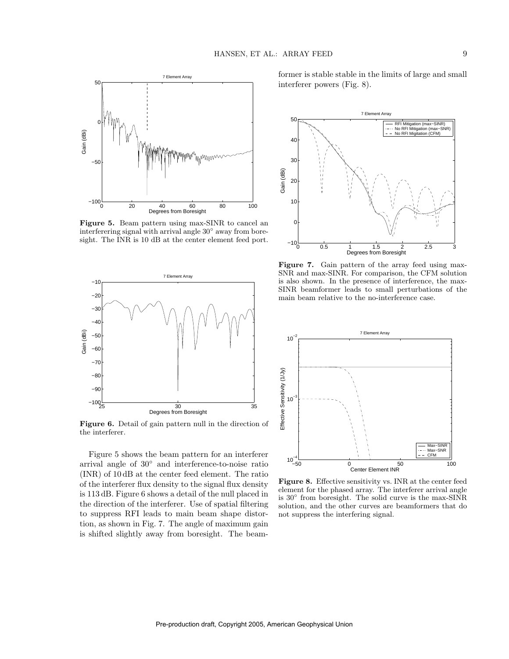

Figure 5. Beam pattern using max-SINR to cancel an interferering signal with arrival angle 30◦ away from boresight. The INR is 10 dB at the center element feed port.



Figure 6. Detail of gain pattern null in the direction of the interferer.

Figure 5 shows the beam pattern for an interferer arrival angle of 30◦ and interference-to-noise ratio (INR) of 10 dB at the center feed element. The ratio of the interferer flux density to the signal flux density is 113 dB. Figure 6 shows a detail of the null placed in the direction of the interferer. Use of spatial filtering to suppress RFI leads to main beam shape distortion, as shown in Fig. 7. The angle of maximum gain is shifted slightly away from boresight. The beamformer is stable stable in the limits of large and small interferer powers (Fig. 8).



Figure 7. Gain pattern of the array feed using max-SNR and max-SINR. For comparison, the CFM solution is also shown. In the presence of interference, the max-SINR beamformer leads to small perturbations of the main beam relative to the no-interference case.



Figure 8. Effective sensitivity vs. INR at the center feed element for the phased array. The interferer arrival angle is 30◦ from boresight. The solid curve is the max-SINR solution, and the other curves are beamformers that do not suppress the interfering signal.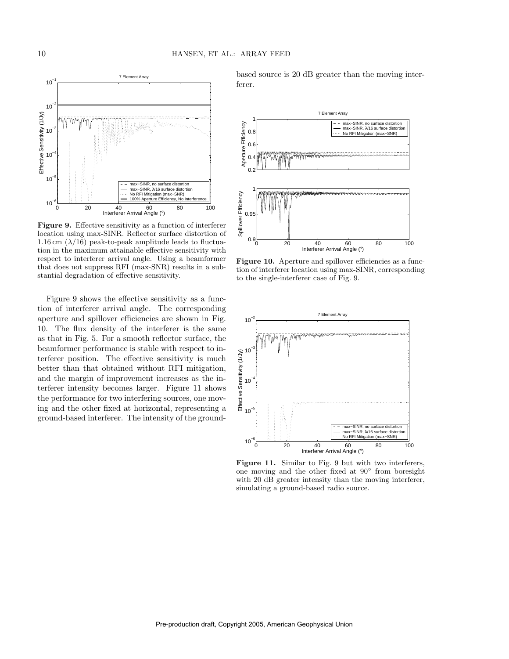

Figure 9. Effective sensitivity as a function of interferer location using max-SINR. Reflector surface distortion of 1.16 cm  $(\lambda/16)$  peak-to-peak amplitude leads to fluctuation in the maximum attainable effective sensitivity with respect to interferer arrival angle. Using a beamformer that does not suppress RFI (max-SNR) results in a substantial degradation of effective sensitivity.

Figure 9 shows the effective sensitivity as a function of interferer arrival angle. The corresponding aperture and spillover efficiencies are shown in Fig. 10. The flux density of the interferer is the same as that in Fig. 5. For a smooth reflector surface, the beamformer performance is stable with respect to interferer position. The effective sensitivity is much better than that obtained without RFI mitigation, and the margin of improvement increases as the interferer intensity becomes larger. Figure 11 shows the performance for two interfering sources, one moving and the other fixed at horizontal, representing a ground-based interferer. The intensity of the groundbased source is 20 dB greater than the moving interferer.



Figure 10. Aperture and spillover efficiencies as a function of interferer location using max-SINR, corresponding to the single-interferer case of Fig. 9.



Figure 11. Similar to Fig. 9 but with two interferers, one moving and the other fixed at 90◦ from boresight with 20 dB greater intensity than the moving interferer, simulating a ground-based radio source.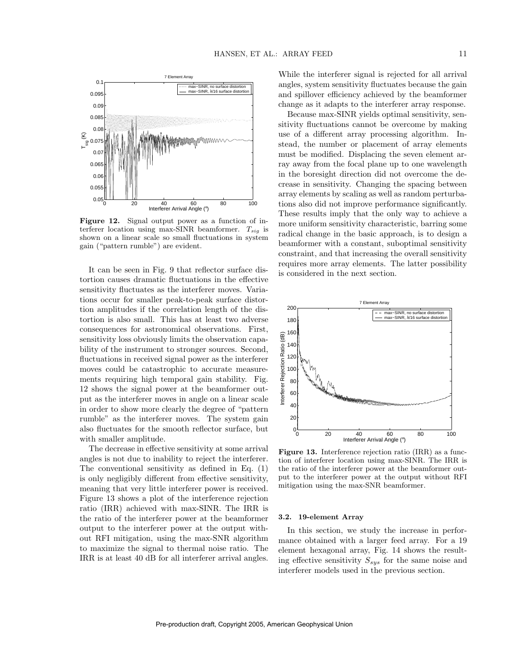

Figure 12. Signal output power as a function of interferer location using max-SINR beamformer.  $T_{sig}$  is shown on a linear scale so small fluctuations in system gain ("pattern rumble") are evident.

It can be seen in Fig. 9 that reflector surface distortion causes dramatic fluctuations in the effective sensitivity fluctuates as the interferer moves. Variations occur for smaller peak-to-peak surface distortion amplitudes if the correlation length of the distortion is also small. This has at least two adverse consequences for astronomical observations. First, sensitivity loss obviously limits the observation capability of the instrument to stronger sources. Second, fluctuations in received signal power as the interferer moves could be catastrophic to accurate measurements requiring high temporal gain stability. Fig. 12 shows the signal power at the beamformer output as the interferer moves in angle on a linear scale in order to show more clearly the degree of "pattern rumble" as the interferer moves. The system gain also fluctuates for the smooth reflector surface, but with smaller amplitude.

The decrease in effective sensitivity at some arrival angles is not due to inability to reject the interferer. The conventional sensitivity as defined in Eq. (1) is only negligibly different from effective sensitivity, meaning that very little interferer power is received. Figure 13 shows a plot of the interference rejection ratio (IRR) achieved with max-SINR. The IRR is the ratio of the interferer power at the beamformer output to the interferer power at the output without RFI mitigation, using the max-SNR algorithm to maximize the signal to thermal noise ratio. The IRR is at least 40 dB for all interferer arrival angles.

While the interferer signal is rejected for all arrival angles, system sensitivity fluctuates because the gain and spillover efficiency achieved by the beamformer change as it adapts to the interferer array response.

Because max-SINR yields optimal sensitivity, sensitivity fluctuations cannot be overcome by making use of a different array processing algorithm. Instead, the number or placement of array elements must be modified. Displacing the seven element array away from the focal plane up to one wavelength in the boresight direction did not overcome the decrease in sensitivity. Changing the spacing between array elements by scaling as well as random perturbations also did not improve performance significantly. These results imply that the only way to achieve a more uniform sensitivity characteristic, barring some radical change in the basic approach, is to design a beamformer with a constant, suboptimal sensitivity constraint, and that increasing the overall sensitivity requires more array elements. The latter possibility is considered in the next section.



Figure 13. Interference rejection ratio (IRR) as a function of interferer location using max-SINR. The IRR is the ratio of the interferer power at the beamformer output to the interferer power at the output without RFI mitigation using the max-SNR beamformer.

### 3.2. 19-element Array

In this section, we study the increase in performance obtained with a larger feed array. For a 19 element hexagonal array, Fig. 14 shows the resulting effective sensitivity  $S_{sys}$  for the same noise and interferer models used in the previous section.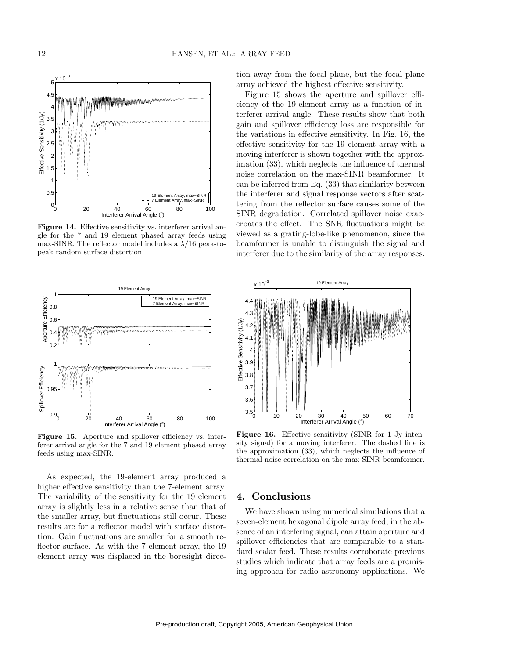

Figure 14. Effective sensitivity vs. interferer arrival angle for the 7 and 19 element phased array feeds using max-SINR. The reflector model includes a  $\lambda/16$  peak-topeak random surface distortion.



Figure 15. Aperture and spillover efficiency vs. interferer arrival angle for the 7 and 19 element phased array feeds using max-SINR.

As expected, the 19-element array produced a higher effective sensitivity than the 7-element array. The variability of the sensitivity for the 19 element array is slightly less in a relative sense than that of the smaller array, but fluctuations still occur. These results are for a reflector model with surface distortion. Gain fluctuations are smaller for a smooth reflector surface. As with the 7 element array, the 19 element array was displaced in the boresight direction away from the focal plane, but the focal plane array achieved the highest effective sensitivity.

Figure 15 shows the aperture and spillover efficiency of the 19-element array as a function of interferer arrival angle. These results show that both gain and spillover efficiency loss are responsible for the variations in effective sensitivity. In Fig. 16, the effective sensitivity for the 19 element array with a moving interferer is shown together with the approximation (33), which neglects the influence of thermal noise correlation on the max-SINR beamformer. It can be inferred from Eq. (33) that similarity between the interferer and signal response vectors after scattering from the reflector surface causes some of the SINR degradation. Correlated spillover noise exacerbates the effect. The SNR fluctuations might be viewed as a grating-lobe-like phenomenon, since the beamformer is unable to distinguish the signal and interferer due to the similarity of the array responses.



Figure 16. Effective sensitivity (SINR for 1 Jy intensity signal) for a moving interferer. The dashed line is the approximation (33), which neglects the influence of thermal noise correlation on the max-SINR beamformer.

### 4. Conclusions

We have shown using numerical simulations that a seven-element hexagonal dipole array feed, in the absence of an interfering signal, can attain aperture and spillover efficiencies that are comparable to a standard scalar feed. These results corroborate previous studies which indicate that array feeds are a promising approach for radio astronomy applications. We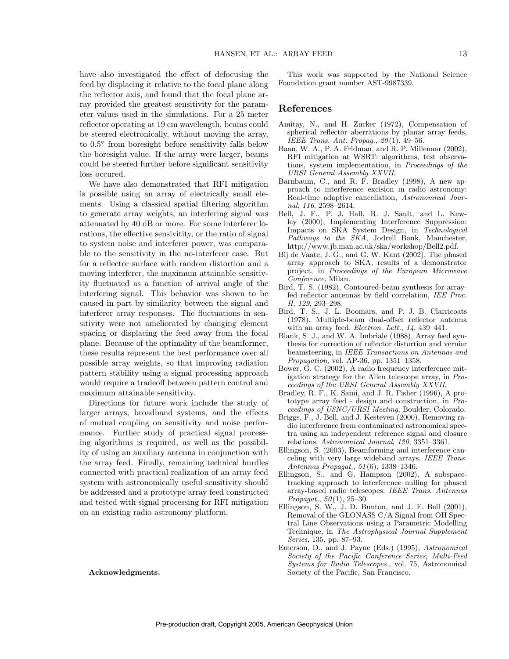have also investigated the effect of defocusing the feed by displacing it relative to the focal plane along the reflector axis, and found that the focal plane array provided the greatest sensitivity for the parameter values used in the simulations. For a 25 meter reflector operating at 19 cm wavelength, beams could be steered electronically, without moving the array, to  $0.5^{\circ}$  from boresight before sensitivity falls below the boresight value. If the array were larger, beams could be steered further before significant sensitivity loss occured.

We have also demonstrated that RFI mitigation is possible using an array of electrically small elements. Using a classical spatial filtering algorithm to generate array weights, an interfering signal was attenuated by 40 dB or more. For some interferer locations, the effective sensivitity, or the ratio of signal to system noise and interferer power, was comparable to the sensitivity in the no-interferer case. But for a reflector surface with random distortion and a moving interferer, the maximum attainable sensitivity fluctuated as a function of arrival angle of the interfering signal. This behavior was shown to be caused in part by similarity between the signal and interferer array responses. The fluctuations in sensitivity were not ameliorated by changing element spacing or displacing the feed away from the focal plane. Because of the optimality of the beamformer, these results represent the best performance over all possible array weights, so that improving radiation pattern stability using a signal processing approach would require a tradeoff between pattern control and maximum attainable sensitivity.

Directions for future work include the study of larger arrays, broadband systems, and the effects of mutual coupling on sensitivity and noise performance. Further study of practical signal processing algorithms is required, as well as the possibility of using an auxiliary antenna in conjunction with the array feed. Finally, remaining technical hurdles connected with practical realization of an array feed system with astronomically useful sensitivity should be addressed and a prototype array feed constructed and tested with signal processing for RFI mitigation on an existing radio astronomy platform.

Acknowledgments.

This work was supported by the National Science Foundation grant number AST-9987339.

### References

- Amitay, N., and H. Zucker (1972), Compensation of spherical reflector aberrations by planar array feeds, IEEE Trans. Ant. Propag.,  $20(1)$ , 49-56.
- Baan, W. A., P. A. Fridman, and R. P. Millenaar (2002), RFI mitigation at WSRT: algorithms, test observations, system implementation, in Proceedings of the URSI General Assembly XXVII.
- Barnbaum, C., and R. F. Bradley (1998), A new approach to interference excision in radio astronomy: Real-time adaptive cancellation, Astronomical Journal, 116, 2598–2614.
- Bell, J. F., P. J. Hall, R. J. Sault, and L. Kewley (2000), Implementing Interference Suppression: Impacts on SKA System Design, in Technological Pathways to the SKA, Jodrell Bank, Manchester, http://www.jb.man.ac.uk/ska/workshop/Bell2.pdf.
- Bij de Vaate, J. G., and G. W. Kant (2002), The phased array approach to SKA, results of a demonstrator project, in Proceedings of the European Microwave Conference, Milan.
- Bird, T. S. (1982), Contoured-beam synthesis for arrayfed reflector antennas by field correlation, IEE Proc. H, 129, 293–298.
- Bird, T. S., J. L. Boomars, and P. J. B. Clarricoats (1978), Multiple-beam dual-offset reflector antenna with an array feed, *Electron. Lett.*,  $14$ , 439-441.
- Blank, S. J., and W. A. Imbriale (1988), Array feed synthesis for correction of reflector distortion and vernier beamsteering, in IEEE Transactions on Antennas and Propagation, vol. AP-36, pp. 1351–1358.
- Bower, G. C. (2002), A radio frequency interference mitigation strategy for the Allen telescope array, in Proceedings of the URSI General Assembly XXVII.
- Bradley, R. F., K. Saini, and J. R. Fisher (1996), A prototype array feed - design and construction, in Proceedings of USNC/URSI Meeting, Boulder, Colorado.
- Briggs, F., J. Bell, and J. Kesteven (2000), Removing radio interference from contaminated astronomical spectra using an independent reference signal and closure relations, Astronomical Journal, 120, 3351–3361.
- Ellingson, S. (2003), Beamforming and interference canceling with very large wideband arrays, IEEE Trans. Antennas Propagat., 51 (6), 1338–1346.
- Ellingson, S., and G. Hampson (2002), A subspacetracking approach to interference nulling for phased array-based radio telescopes, IEEE Trans. Antennas Propagat.,  $50(1)$ ,  $25-30$ .
- Ellingson, S. W., J. D. Bunton, and J. F. Bell (2001), Removal of the GLONASS C/A Signal from OH Spectral Line Observations using a Parametric Modelling Technique, in The Astrophysical Journal Supplement Series, 135, pp. 87–93.
- Emerson, D., and J. Payne (Eds.) (1995), Astronomical Society of the Pacific Conference Series, Multi-Feed Systems for Radio Telescopes., vol. 75, Astronomical Society of the Pacific, San Francisco.